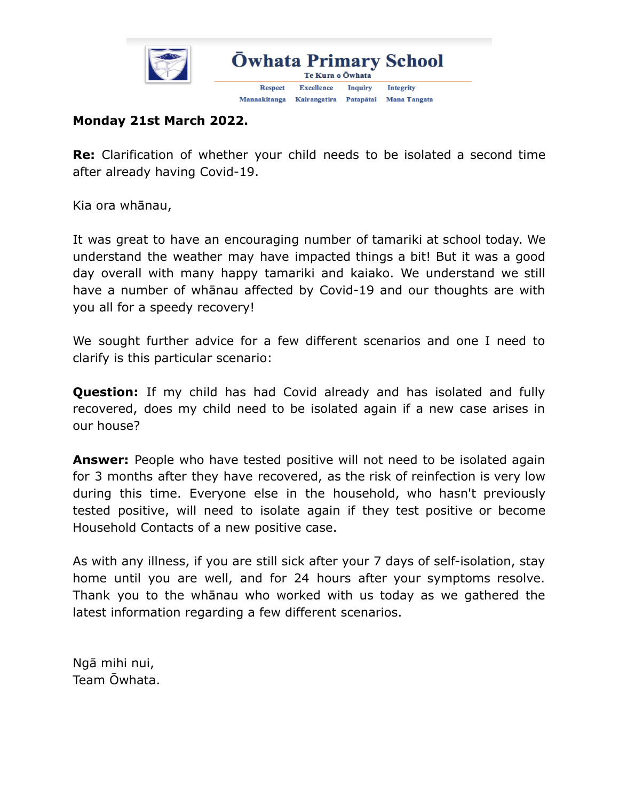

## **Monday 21st March 2022.**

**Re:** Clarification of whether your child needs to be isolated a second time after already having Covid-19.

Kia ora whānau,

It was great to have an encouraging number of tamariki at school today. We understand the weather may have impacted things a bit! But it was a good day overall with many happy tamariki and kaiako. We understand we still have a number of whānau affected by Covid-19 and our thoughts are with you all for a speedy recovery!

We sought further advice for a few different scenarios and one I need to clarify is this particular scenario:

**Question:** If my child has had Covid already and has isolated and fully recovered, does my child need to be isolated again if a new case arises in our house?

**Answer:** People who have tested positive will not need to be isolated again for 3 months after they have recovered, as the risk of reinfection is very low during this time. Everyone else in the household, who hasn't previously tested positive, will need to isolate again if they test positive or become Household Contacts of a new positive case.

As with any illness, if you are still sick after your 7 days of self-isolation, stay home until you are well, and for 24 hours after your symptoms resolve. Thank you to the whānau who worked with us today as we gathered the latest information regarding a few different scenarios.

Ngā mihi nui, Team Ōwhata.